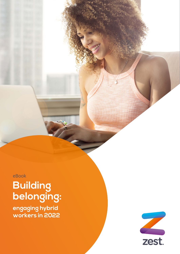eBook **Building belonging:**

**engaging hybrid workers in 2022** 

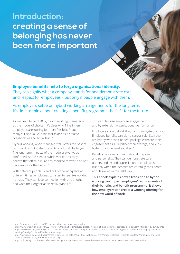**Introduction: creating a sense of belonging has never been more important**

**Employee benefits help to forge organisational identity.** They can signify what a company stands for and demonstrate care and respect for employees – but only if people engage with them.

As employers settle on hybrid working arrangements for the long term, it's time to think about creating a benefit programme that's fit for the future.

As we head toward 2022, hybrid working is emerging as the model of choice.<sup>1</sup> It's clear why. Nine in ten employees are looking for more flexibility<sup>2</sup>, but many still see value in the workplace as a creative, collaborative and social hub. <sup>3</sup>

Hybrid working, when managed well, offers the best of both worlds. But it also presents a cultural challenge. The long-term impacts of the model are yet to be confirmed. Some 64% of hybrid workers already believe that office culture has changed forever, and not necessarily for the better.<sup>4</sup>

With different people in and out of the workplace at different times, employees can start to feel like working nomads. They can lose connection with one another and what their organisation really stands for.

This can damage employee engagement, and by extension organisational performance.

Employers should do all they can to mitigate this risk. Employee benefits can play a central role. Staff that are happy with their benefit package estimate their engagement as 11% higher than average, and 25% higher than the least satisfied. <sup>5</sup>

Benefits can signify organisational purpose and personality. They can demonstrate care, understanding and appreciation of employees. But only when the benefits are carefully considered and delivered in the right way.

This ebook explains how a transition to hybrid working can impact employees' requirements of their benefits and benefit programme. It shows how employers can create a winning offering for the new world of work.

- <sup>1</sup> https://employeebenefits.co.uk/83-employers-have-hybrid-working-model/
- <sup>2</sup> https://www.ey.com/en\_us/news/2021/05/more-than-half-of-employees-globally-would-quit-their-jobs-if-not-provided-post-pandemic-flexibility-ey-survey-finds <sup>3</sup> https://newsroom.poly.com/English/press-releases/news-details/2021/Poly-Evolution-of-the-Workplace-Report-Highlights-Need-for-Work-Equity-and-Total-
- Meeting-Equality-for-Hybrid-Workers/default.aspx 4 https://newsroom.poly.com/English/press-releases/news-details/2021/Poly-Evolution-of-the-Workplace-Report-Highlights-Need-for-Work-Equity-and-Total-

<sup>5</sup> https://info.benify.com/thank-you-for-downloading-our-happiness-index-2019?submissionGuid=45592a25-cd9e-4917-86c4-3554ea164f46

Meeting-Equality-for-Hybrid-Workers/default.aspx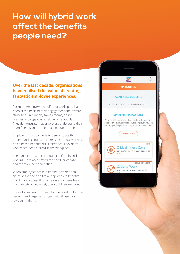# **How will hybrid work affect the benefits people need?**

# **Over the last decade, organisations have realised the value of creating fantastic employee experiences.**

For many employers, the office or workspace has been at the heart of their engagement and reward strategies. Free meals, games rooms, onsite creches and yoga classes all became popular. They demonstrate that employers understand their teams' needs and care enough to support them.

Employers must continue to demonstrate this understanding. But with increasing remote working, office-based benefits risk irrelevance. They don't work when people aren't in the workplace.

The pandemic – and consequent shift to hybrid working – has accelerated the need for change and for more personalisation.

When employees are in different locations and situations, a one-size-fits-all approach to benefits won't work. At best this will leave employees feeling misunderstood. At worst, they could feel excluded.

Instead, organisations need to offer a raft of flexible benefits and target employees with those most relevant to them.

# **MY BENEFITS**

 $\oslash$ 

CORE

ENDING 30/09/2018

### **AVAILABLE BENEFITS**

There are no new benefits available to select.

### **MY BENEFITS PACKAGE**

Your benefits package contains the benefits you have selected and those provided by your employer. You can view any upcoming changes using the date selector below.



**Critical Illness Cover** 90% SALARY (90 %) - COVER: £26,955.00 **VIEW** 

**Cycle to Work** VOUCHER VALUE (POUNDS £500.00) - ...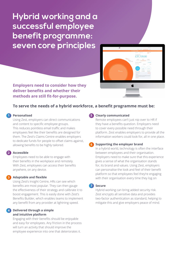**Hybrid working and a successful employee benefit programme: seven core principles** 



**Employers need to consider how they deliver benefits and whether their methods are still fit-for-purpose.**

## **To serve the needs of a hybrid workforce, a benefit programme must be:**

### **Personalised 1 5**

Using Zest, employers can direct communications and content to specific employee groups. This reduces pointless email traffic and makes employees feel like their benefits are designed for them. The Zest's Claims Centre enables employers to dedicate funds for people to offset claims against, allowing benefits to be highly tailored.

#### **Accessible 2**

Employees need to be able to engage with their benefits in the workplace and remotely. With Zest, employees can access their benefits anywhere, on any device.

#### **Adaptable and flexible 3**

Using Zest's Insight Centre, HRs can see which benefits are most popular. They can then gauge the effectiveness of their strategy and calibrate it to boost engagement. This is easily done with Zest's Benefits Builder, which enables teams to implement any benefit from any provider at lightning speed.

#### **Delivered through a simple and intuitive platform 4**

Engaging with their benefits should be enjoyable and easy for employees. Any friction in the process will turn an activity that should improve the employee experience into one that deteriorates it.

### **Clearly communicated**

Remote employees can't just nip over to HR if they have a benefits question. Employers need to cover every possible need through their platform. Zest enables employers to provide all the information workers could look for, all in one place.

#### **Supporting the employer brand 6**

In a hybrid world, technology is often the interface between employees and their organisation. Employers need to make sure that this experience gives a sense of what the organisation stands for, its brand and values. Using Zest, employers can personalise the look and feel of their benefit platform so that employees feel they're engaging with their organisation every time they log on

#### **Secure 7**

Hybrid working can bring added security risk. Zest encrypts all sensitive data and provides two-factor authentication as standard, helping to mitigate this and give employers peace of mind.